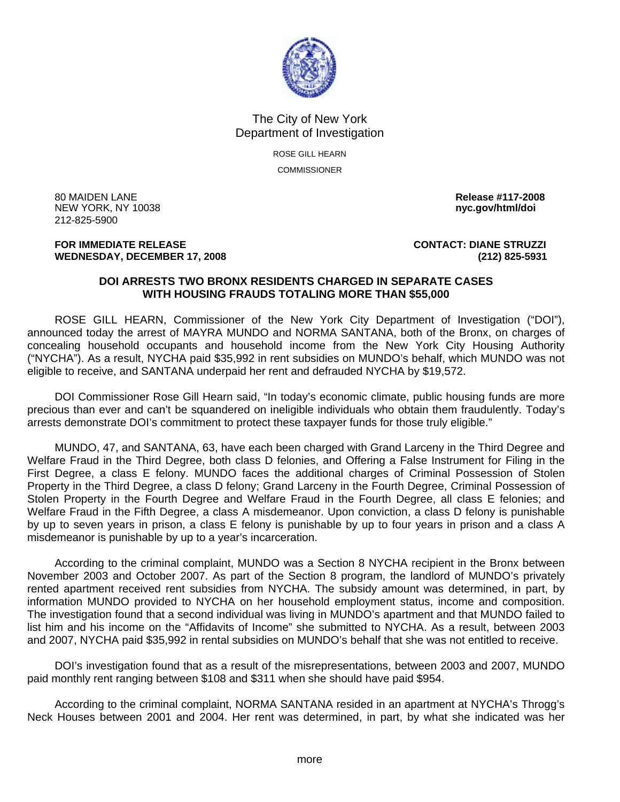

## The City of New York Department of Investigation

ROSE GILL HEARN **COMMISSIONER** 

80 MAIDEN LANE **Release #117-2008 NEW YORK, NY 10038** 212-825-5900

**FOR IMMEDIATE RELEASE CONTACT: DIANE STRUZZI WEDNESDAY, DECEMBER 17, 2008 (212) 825-5931**

## **DOI ARRESTS TWO BRONX RESIDENTS CHARGED IN SEPARATE CASES WITH HOUSING FRAUDS TOTALING MORE THAN \$55,000**

 ROSE GILL HEARN, Commissioner of the New York City Department of Investigation ("DOI"), announced today the arrest of MAYRA MUNDO and NORMA SANTANA, both of the Bronx, on charges of concealing household occupants and household income from the New York City Housing Authority ("NYCHA"). As a result, NYCHA paid \$35,992 in rent subsidies on MUNDO's behalf, which MUNDO was not eligible to receive, and SANTANA underpaid her rent and defrauded NYCHA by \$19,572.

 DOI Commissioner Rose Gill Hearn said, "In today's economic climate, public housing funds are more precious than ever and can't be squandered on ineligible individuals who obtain them fraudulently. Today's arrests demonstrate DOI's commitment to protect these taxpayer funds for those truly eligible."

 MUNDO, 47, and SANTANA, 63, have each been charged with Grand Larceny in the Third Degree and Welfare Fraud in the Third Degree, both class D felonies, and Offering a False Instrument for Filing in the First Degree, a class E felony. MUNDO faces the additional charges of Criminal Possession of Stolen Property in the Third Degree, a class D felony; Grand Larceny in the Fourth Degree, Criminal Possession of Stolen Property in the Fourth Degree and Welfare Fraud in the Fourth Degree, all class E felonies; and Welfare Fraud in the Fifth Degree, a class A misdemeanor. Upon conviction, a class D felony is punishable by up to seven years in prison, a class E felony is punishable by up to four years in prison and a class A misdemeanor is punishable by up to a year's incarceration.

 According to the criminal complaint, MUNDO was a Section 8 NYCHA recipient in the Bronx between November 2003 and October 2007. As part of the Section 8 program, the landlord of MUNDO's privately rented apartment received rent subsidies from NYCHA. The subsidy amount was determined, in part, by information MUNDO provided to NYCHA on her household employment status, income and composition. The investigation found that a second individual was living in MUNDO's apartment and that MUNDO failed to list him and his income on the "Affidavits of Income" she submitted to NYCHA. As a result, between 2003 and 2007, NYCHA paid \$35,992 in rental subsidies on MUNDO's behalf that she was not entitled to receive.

 DOI's investigation found that as a result of the misrepresentations, between 2003 and 2007, MUNDO paid monthly rent ranging between \$108 and \$311 when she should have paid \$954.

 According to the criminal complaint, NORMA SANTANA resided in an apartment at NYCHA's Throgg's Neck Houses between 2001 and 2004. Her rent was determined, in part, by what she indicated was her